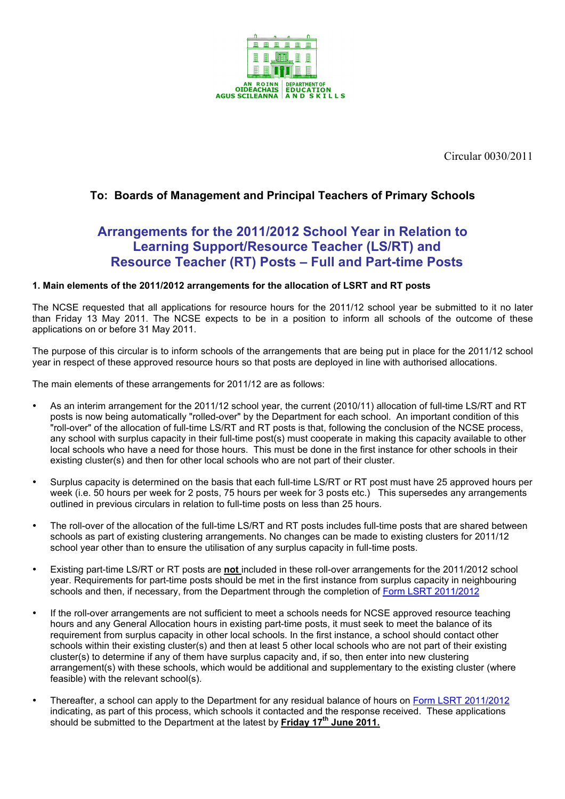

Circular 0030/2011

# **To: Boards of Management and Principal Teachers of Primary Schools**

# **Arrangements for the 2011/2012 School Year in Relation to Learning Support/Resource Teacher (LS/RT) and Resource Teacher (RT) Posts – Full and Part-time Posts**

# **1. Main elements of the 2011/2012 arrangements for the allocation of LSRT and RT posts**

The NCSE requested that all applications for resource hours for the 2011/12 school year be submitted to it no later than Friday 13 May 2011. The NCSE expects to be in a position to inform all schools of the outcome of these applications on or before 31 May 2011.

The purpose of this circular is to inform schools of the arrangements that are being put in place for the 2011/12 school year in respect of these approved resource hours so that posts are deployed in line with authorised allocations.

The main elements of these arrangements for 2011/12 are as follows:

- As an interim arrangement for the 2011/12 school year, the current (2010/11) allocation of full-time LS/RT and RT posts is now being automatically "rolled-over" by the Department for each school. An important condition of this "roll-over" of the allocation of full-time LS/RT and RT posts is that, following the conclusion of the NCSE process, any school with surplus capacity in their full-time post(s) must cooperate in making this capacity available to other local schools who have a need for those hours. This must be done in the first instance for other schools in their existing cluster(s) and then for other local schools who are not part of their cluster.
- Surplus capacity is determined on the basis that each full-time LS/RT or RT post must have 25 approved hours per week (i.e. 50 hours per week for 2 posts, 75 hours per week for 3 posts etc.) This supersedes any arrangements outlined in previous circulars in relation to full-time posts on less than 25 hours.
- The roll-over of the allocation of the full-time LS/RT and RT posts includes full-time posts that are shared between schools as part of existing clustering arrangements. No changes can be made to existing clusters for 2011/12 school year other than to ensure the utilisation of any surplus capacity in full-time posts.
- Existing part-time LS/RT or RT posts are **not** included in these roll-over arrangements for the 2011/2012 school year. Requirements for part-time posts should be met in the first instance from surplus capacity in neighbouring schools and then, if necessary, from the Department through the completion of Form LSRT 2011/2012
- If the roll-over arrangements are not sufficient to meet a schools needs for NCSE approved resource teaching hours and any General Allocation hours in existing part-time posts, it must seek to meet the balance of its requirement from surplus capacity in other local schools. In the first instance, a school should contact other schools within their existing cluster(s) and then at least 5 other local schools who are not part of their existing cluster(s) to determine if any of them have surplus capacity and, if so, then enter into new clustering arrangement(s) with these schools, which would be additional and supplementary to the existing cluster (where feasible) with the relevant school(s).
- Thereafter, a school can apply to the Department for any residual balance of hours on Form LSRT 2011/2012 indicating, as part of this process, which schools it contacted and the response received. These applications should be submitted to the Department at the latest by **Friday 17th June 2011.**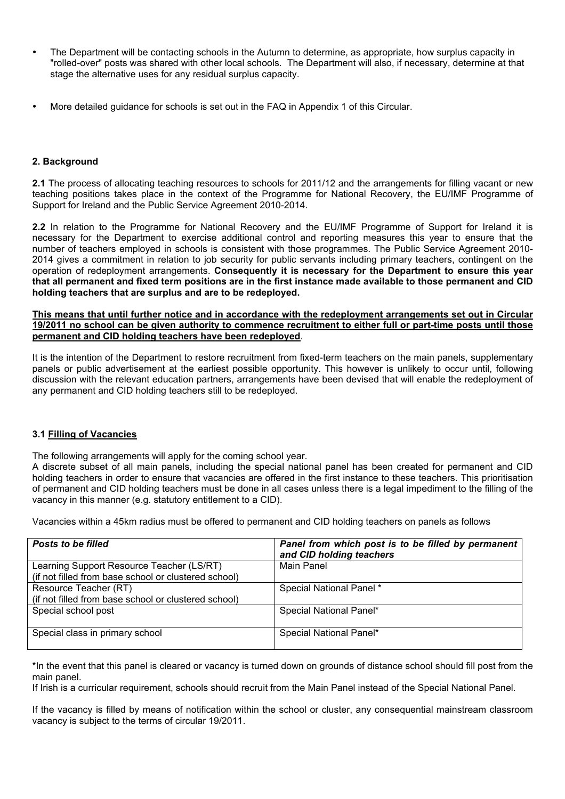- The Department will be contacting schools in the Autumn to determine, as appropriate, how surplus capacity in "rolled-over" posts was shared with other local schools. The Department will also, if necessary, determine at that stage the alternative uses for any residual surplus capacity.
- More detailed guidance for schools is set out in the FAQ in Appendix 1 of this Circular.

## **2. Background**

**2.1** The process of allocating teaching resources to schools for 2011/12 and the arrangements for filling vacant or new teaching positions takes place in the context of the Programme for National Recovery, the EU/IMF Programme of Support for Ireland and the Public Service Agreement 2010-2014.

**2.2** In relation to the Programme for National Recovery and the EU/IMF Programme of Support for Ireland it is necessary for the Department to exercise additional control and reporting measures this year to ensure that the number of teachers employed in schools is consistent with those programmes. The Public Service Agreement 2010- 2014 gives a commitment in relation to job security for public servants including primary teachers, contingent on the operation of redeployment arrangements. **Consequently it is necessary for the Department to ensure this year that all permanent and fixed term positions are in the first instance made available to those permanent and CID holding teachers that are surplus and are to be redeployed.**

#### **This means that until further notice and in accordance with the redeployment arrangements set out in Circular 19/2011 no school can be given authority to commence recruitment to either full or part-time posts until those permanent and CID holding teachers have been redeployed**.

It is the intention of the Department to restore recruitment from fixed-term teachers on the main panels, supplementary panels or public advertisement at the earliest possible opportunity. This however is unlikely to occur until, following discussion with the relevant education partners, arrangements have been devised that will enable the redeployment of any permanent and CID holding teachers still to be redeployed.

#### **3.1 Filling of Vacancies**

The following arrangements will apply for the coming school year.

A discrete subset of all main panels, including the special national panel has been created for permanent and CID holding teachers in order to ensure that vacancies are offered in the first instance to these teachers. This prioritisation of permanent and CID holding teachers must be done in all cases unless there is a legal impediment to the filling of the vacancy in this manner (e.g. statutory entitlement to a CID).

Vacancies within a 45km radius must be offered to permanent and CID holding teachers on panels as follows

| Posts to be filled                                   | Panel from which post is to be filled by permanent<br>and CID holding teachers |
|------------------------------------------------------|--------------------------------------------------------------------------------|
| Learning Support Resource Teacher (LS/RT)            | Main Panel                                                                     |
| (if not filled from base school or clustered school) |                                                                                |
| Resource Teacher (RT)                                | Special National Panel *                                                       |
| (if not filled from base school or clustered school) |                                                                                |
| Special school post                                  | Special National Panel*                                                        |
| Special class in primary school                      | Special National Panel*                                                        |

\*In the event that this panel is cleared or vacancy is turned down on grounds of distance school should fill post from the main panel.

If Irish is a curricular requirement, schools should recruit from the Main Panel instead of the Special National Panel.

If the vacancy is filled by means of notification within the school or cluster, any consequential mainstream classroom vacancy is subject to the terms of circular 19/2011.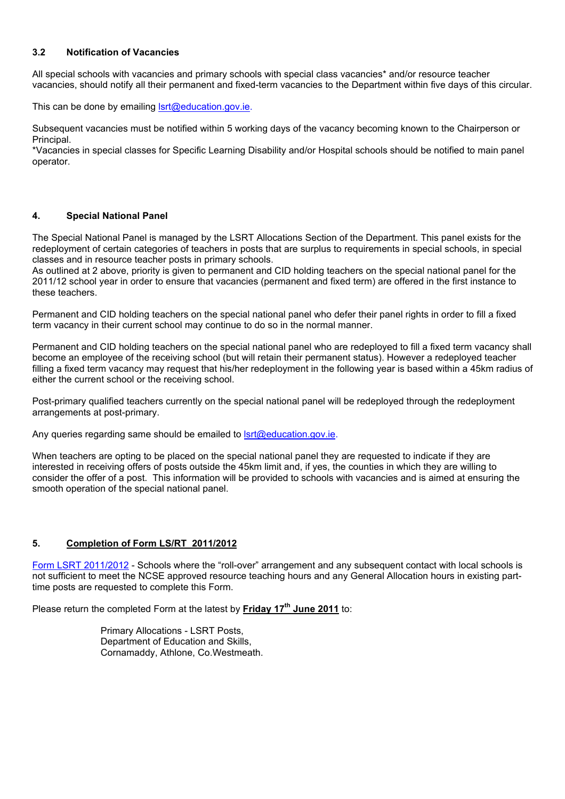# **3.2 Notification of Vacancies**

All special schools with vacancies and primary schools with special class vacancies\* and/or resource teacher vacancies, should notify all their permanent and fixed-term vacancies to the Department within five days of this circular.

This can be done by emailing **Isrt@education.gov.ie.** 

Subsequent vacancies must be notified within 5 working days of the vacancy becoming known to the Chairperson or Principal.

\*Vacancies in special classes for Specific Learning Disability and/or Hospital schools should be notified to main panel operator.

## **4. Special National Panel**

The Special National Panel is managed by the LSRT Allocations Section of the Department. This panel exists for the redeployment of certain categories of teachers in posts that are surplus to requirements in special schools, in special classes and in resource teacher posts in primary schools.

As outlined at 2 above, priority is given to permanent and CID holding teachers on the special national panel for the 2011/12 school year in order to ensure that vacancies (permanent and fixed term) are offered in the first instance to these teachers.

Permanent and CID holding teachers on the special national panel who defer their panel rights in order to fill a fixed term vacancy in their current school may continue to do so in the normal manner.

Permanent and CID holding teachers on the special national panel who are redeployed to fill a fixed term vacancy shall become an employee of the receiving school (but will retain their permanent status). However a redeployed teacher filling a fixed term vacancy may request that his/her redeployment in the following year is based within a 45km radius of either the current school or the receiving school.

Post-primary qualified teachers currently on the special national panel will be redeployed through the redeployment arrangements at post-primary.

Any queries regarding same should be emailed to  $\text{Istr}(\mathcal{Q})$ education.gov.ie.

When teachers are opting to be placed on the special national panel they are requested to indicate if they are interested in receiving offers of posts outside the 45km limit and, if yes, the counties in which they are willing to consider the offer of a post. This information will be provided to schools with vacancies and is aimed at ensuring the smooth operation of the special national panel.

## **5. Completion of Form LS/RT 2011/2012**

Form LSRT 2011/2012 - Schools where the "roll-over" arrangement and any subsequent contact with local schools is not sufficient to meet the NCSE approved resource teaching hours and any General Allocation hours in existing parttime posts are requested to complete this Form.

Please return the completed Form at the latest by **Friday 17th June 2011** to:

Primary Allocations - LSRT Posts, Department of Education and Skills, Cornamaddy, Athlone, Co.Westmeath.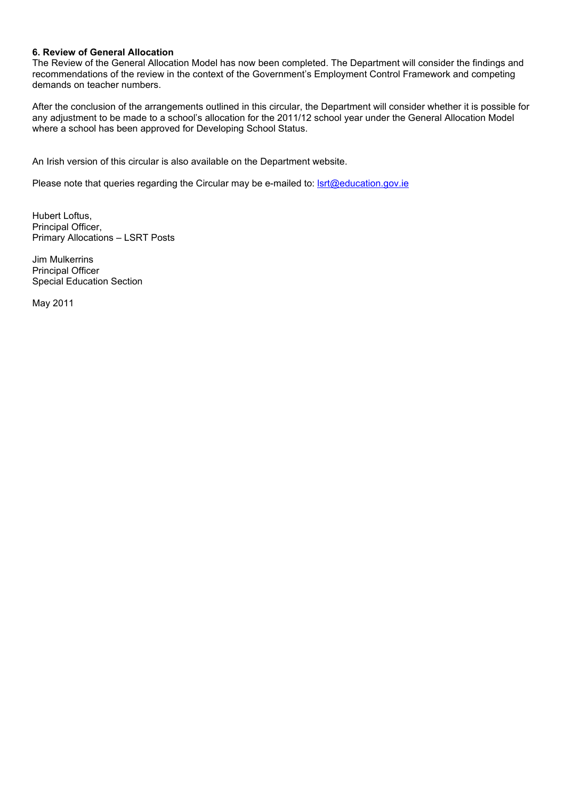### **6. Review of General Allocation**

The Review of the General Allocation Model has now been completed. The Department will consider the findings and recommendations of the review in the context of the Government's Employment Control Framework and competing demands on teacher numbers.

After the conclusion of the arrangements outlined in this circular, the Department will consider whether it is possible for any adjustment to be made to a school's allocation for the 2011/12 school year under the General Allocation Model where a school has been approved for Developing School Status.

An Irish version of this circular is also available on the Department website.

Please note that queries regarding the Circular may be e-mailed to: **Isrt@education.gov.ie** 

Hubert Loftus, Principal Officer, Primary Allocations – LSRT Posts

Jim Mulkerrins Principal Officer Special Education Section

May 2011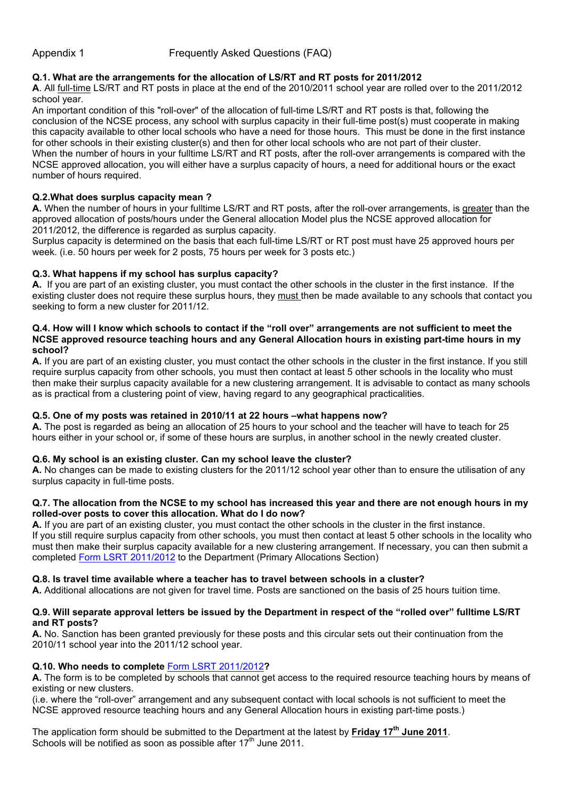# **Q.1. What are the arrangements for the allocation of LS/RT and RT posts for 2011/2012**

**A**. All full-time LS/RT and RT posts in place at the end of the 2010/2011 school year are rolled over to the 2011/2012 school year.

An important condition of this "roll-over" of the allocation of full-time LS/RT and RT posts is that, following the conclusion of the NCSE process, any school with surplus capacity in their full-time post(s) must cooperate in making this capacity available to other local schools who have a need for those hours. This must be done in the first instance for other schools in their existing cluster(s) and then for other local schools who are not part of their cluster. When the number of hours in your fulltime LS/RT and RT posts, after the roll-over arrangements is compared with the NCSE approved allocation, you will either have a surplus capacity of hours, a need for additional hours or the exact number of hours required.

#### **Q.2.What does surplus capacity mean ?**

**A.** When the number of hours in your fulltime LS/RT and RT posts, after the roll-over arrangements, is greater than the approved allocation of posts/hours under the General allocation Model plus the NCSE approved allocation for 2011/2012, the difference is regarded as surplus capacity.

Surplus capacity is determined on the basis that each full-time LS/RT or RT post must have 25 approved hours per week. (i.e. 50 hours per week for 2 posts, 75 hours per week for 3 posts etc.)

## **Q.3. What happens if my school has surplus capacity?**

**A.** If you are part of an existing cluster, you must contact the other schools in the cluster in the first instance. If the existing cluster does not require these surplus hours, they must then be made available to any schools that contact you seeking to form a new cluster for 2011/12.

#### **Q.4. How will I know which schools to contact if the "roll over" arrangements are not sufficient to meet the NCSE approved resource teaching hours and any General Allocation hours in existing part-time hours in my school?**

**A.** If you are part of an existing cluster, you must contact the other schools in the cluster in the first instance. If you still require surplus capacity from other schools, you must then contact at least 5 other schools in the locality who must then make their surplus capacity available for a new clustering arrangement. It is advisable to contact as many schools as is practical from a clustering point of view, having regard to any geographical practicalities.

## **Q.5. One of my posts was retained in 2010/11 at 22 hours –what happens now?**

**A.** The post is regarded as being an allocation of 25 hours to your school and the teacher will have to teach for 25 hours either in your school or, if some of these hours are surplus, in another school in the newly created cluster.

## **Q.6. My school is an existing cluster. Can my school leave the cluster?**

**A.** No changes can be made to existing clusters for the 2011/12 school year other than to ensure the utilisation of any surplus capacity in full-time posts.

#### **Q.7. The allocation from the NCSE to my school has increased this year and there are not enough hours in my rolled-over posts to cover this allocation. What do I do now?**

**A.** If you are part of an existing cluster, you must contact the other schools in the cluster in the first instance. If you still require surplus capacity from other schools, you must then contact at least 5 other schools in the locality who must then make their surplus capacity available for a new clustering arrangement. If necessary, you can then submit a completed Form LSRT 2011/2012 to the Department (Primary Allocations Section)

#### **Q.8. Is travel time available where a teacher has to travel between schools in a cluster?**

**A.** Additional allocations are not given for travel time. Posts are sanctioned on the basis of 25 hours tuition time.

#### **Q.9. Will separate approval letters be issued by the Department in respect of the "rolled over" fulltime LS/RT and RT posts?**

**A.** No. Sanction has been granted previously for these posts and this circular sets out their continuation from the 2010/11 school year into the 2011/12 school year.

#### **Q.10. Who needs to complete** Form LSRT 2011/2012**?**

**A.** The form is to be completed by schools that cannot get access to the required resource teaching hours by means of existing or new clusters.

(i.e. where the "roll-over" arrangement and any subsequent contact with local schools is not sufficient to meet the NCSE approved resource teaching hours and any General Allocation hours in existing part-time posts.)

The application form should be submitted to the Department at the latest by **Friday 17th June 2011**. Schools will be notified as soon as possible after  $17<sup>th</sup>$  June 2011.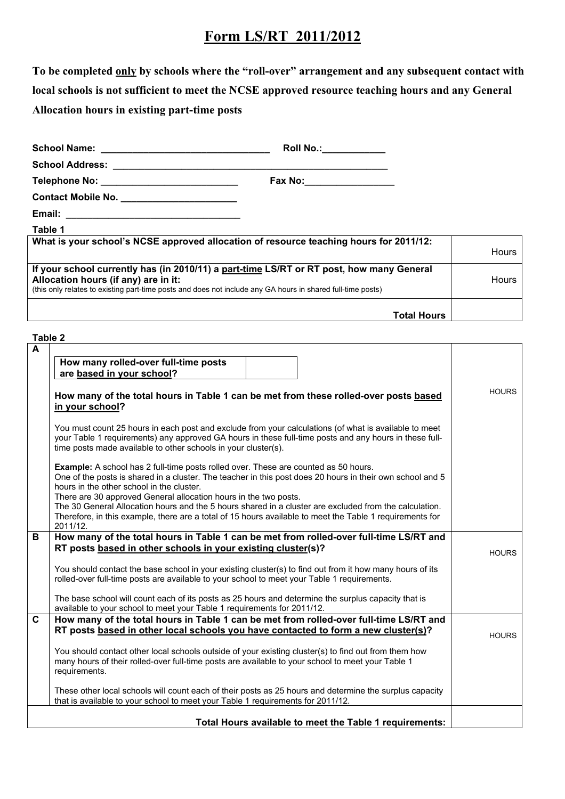# **Form LS/RT 2011/2012**

**To be completed only by schools where the "roll-over" arrangement and any subsequent contact with local schools is not sufficient to meet the NCSE approved resource teaching hours and any General Allocation hours in existing part-time posts**

|                                                                                                                                                                                                                                                 | Roll No.: <u>________________</u> |              |
|-------------------------------------------------------------------------------------------------------------------------------------------------------------------------------------------------------------------------------------------------|-----------------------------------|--------------|
|                                                                                                                                                                                                                                                 |                                   |              |
|                                                                                                                                                                                                                                                 |                                   |              |
|                                                                                                                                                                                                                                                 |                                   |              |
|                                                                                                                                                                                                                                                 |                                   |              |
| Table 1                                                                                                                                                                                                                                         |                                   |              |
| What is your school's NCSE approved allocation of resource teaching hours for 2011/12:                                                                                                                                                          |                                   | <b>Hours</b> |
| If your school currently has (in 2010/11) a part-time LS/RT or RT post, how many General<br>Allocation hours (if any) are in it:<br>(this only relates to existing part-time posts and does not include any GA hours in shared full-time posts) |                                   | <b>Hours</b> |
|                                                                                                                                                                                                                                                 | <b>Total Hours</b>                |              |

**Table 2**

| $\mathbf{A}$                                                 |                                                                                                                                                                                                                                                                                                                                                                                                                                                                                                                                                     |              |
|--------------------------------------------------------------|-----------------------------------------------------------------------------------------------------------------------------------------------------------------------------------------------------------------------------------------------------------------------------------------------------------------------------------------------------------------------------------------------------------------------------------------------------------------------------------------------------------------------------------------------------|--------------|
|                                                              | How many rolled-over full-time posts                                                                                                                                                                                                                                                                                                                                                                                                                                                                                                                |              |
|                                                              | are based in your school?                                                                                                                                                                                                                                                                                                                                                                                                                                                                                                                           |              |
|                                                              | How many of the total hours in Table 1 can be met from these rolled-over posts based                                                                                                                                                                                                                                                                                                                                                                                                                                                                | <b>HOURS</b> |
|                                                              | in your school?                                                                                                                                                                                                                                                                                                                                                                                                                                                                                                                                     |              |
|                                                              | You must count 25 hours in each post and exclude from your calculations (of what is available to meet<br>your Table 1 requirements) any approved GA hours in these full-time posts and any hours in these full-<br>time posts made available to other schools in your cluster(s).                                                                                                                                                                                                                                                                   |              |
|                                                              | Example: A school has 2 full-time posts rolled over. These are counted as 50 hours.<br>One of the posts is shared in a cluster. The teacher in this post does 20 hours in their own school and 5<br>hours in the other school in the cluster.<br>There are 30 approved General allocation hours in the two posts.<br>The 30 General Allocation hours and the 5 hours shared in a cluster are excluded from the calculation.<br>Therefore, in this example, there are a total of 15 hours available to meet the Table 1 requirements for<br>2011/12. |              |
| В                                                            | How many of the total hours in Table 1 can be met from rolled-over full-time LS/RT and                                                                                                                                                                                                                                                                                                                                                                                                                                                              |              |
| RT posts based in other schools in your existing cluster(s)? |                                                                                                                                                                                                                                                                                                                                                                                                                                                                                                                                                     | <b>HOURS</b> |
|                                                              | You should contact the base school in your existing cluster(s) to find out from it how many hours of its<br>rolled-over full-time posts are available to your school to meet your Table 1 requirements.                                                                                                                                                                                                                                                                                                                                             |              |
|                                                              | The base school will count each of its posts as 25 hours and determine the surplus capacity that is<br>available to your school to meet your Table 1 requirements for 2011/12.                                                                                                                                                                                                                                                                                                                                                                      |              |
| C                                                            | How many of the total hours in Table 1 can be met from rolled-over full-time LS/RT and<br>RT posts based in other local schools you have contacted to form a new cluster(s)?                                                                                                                                                                                                                                                                                                                                                                        | <b>HOURS</b> |
|                                                              | You should contact other local schools outside of your existing cluster(s) to find out from them how<br>many hours of their rolled-over full-time posts are available to your school to meet your Table 1<br>requirements.                                                                                                                                                                                                                                                                                                                          |              |
|                                                              | These other local schools will count each of their posts as 25 hours and determine the surplus capacity<br>that is available to your school to meet your Table 1 requirements for 2011/12.                                                                                                                                                                                                                                                                                                                                                          |              |
|                                                              | Total Hours available to meet the Table 1 requirements:                                                                                                                                                                                                                                                                                                                                                                                                                                                                                             |              |